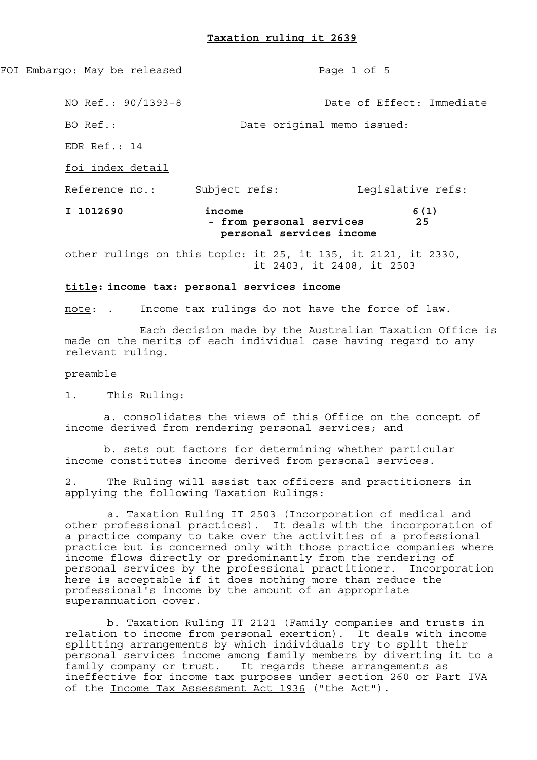## **Taxation ruling it 2639**

FOI Embargo: May be released Page 1 of 5

NO Ref.: 90/1393-8 Date of Effect: Immediate

BO Ref.: Date original memo issued:

EDR Ref.: 14

foi index detail

Reference no.: Subject refs: Legislative refs:

# **I 1012690 income 6(1) - from personal services 25 personal services income**

other rulings on this topic: it 25, it 135, it 2121, it 2330, it 2403, it 2408, it 2503

### **title: income tax: personal services income**

note: . Income tax rulings do not have the force of law.

 Each decision made by the Australian Taxation Office is made on the merits of each individual case having regard to any relevant ruling.

### preamble

1. This Ruling:

 a. consolidates the views of this Office on the concept of income derived from rendering personal services; and

 b. sets out factors for determining whether particular income constitutes income derived from personal services.

2. The Ruling will assist tax officers and practitioners in applying the following Taxation Rulings:

 a. Taxation Ruling IT 2503 (Incorporation of medical and other professional practices). It deals with the incorporation of a practice company to take over the activities of a professional practice but is concerned only with those practice companies where income flows directly or predominantly from the rendering of personal services by the professional practitioner. Incorporation here is acceptable if it does nothing more than reduce the professional's income by the amount of an appropriate superannuation cover.

 b. Taxation Ruling IT 2121 (Family companies and trusts in relation to income from personal exertion). It deals with income splitting arrangements by which individuals try to split their personal services income among family members by diverting it to a family company or trust. It regards these arrangements as ineffective for income tax purposes under section 260 or Part IVA of the Income Tax Assessment Act 1936 ("the Act").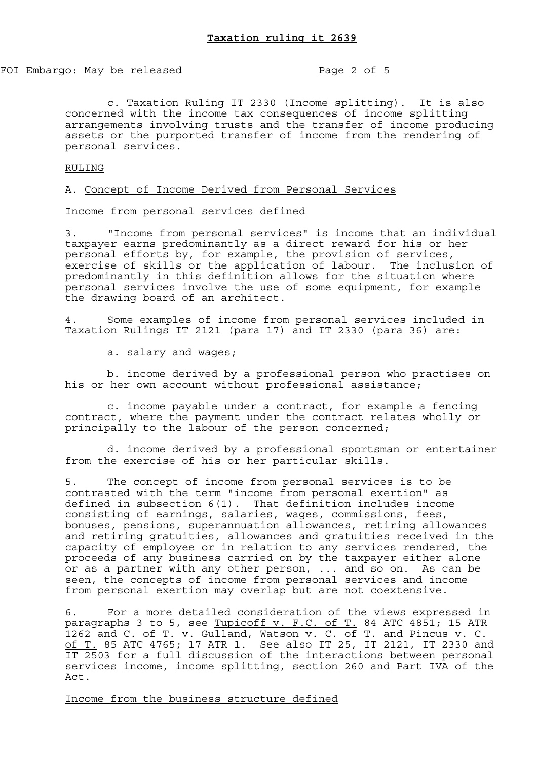FOI Embargo: May be released Page 2 of 5

 c. Taxation Ruling IT 2330 (Income splitting). It is also concerned with the income tax consequences of income splitting arrangements involving trusts and the transfer of income producing assets or the purported transfer of income from the rendering of personal services.

RULING

A. Concept of Income Derived from Personal Services

## Income from personal services defined

3. "Income from personal services" is income that an individual taxpayer earns predominantly as a direct reward for his or her personal efforts by, for example, the provision of services, exercise of skills or the application of labour. The inclusion of predominantly in this definition allows for the situation where personal services involve the use of some equipment, for example the drawing board of an architect.

4. Some examples of income from personal services included in Taxation Rulings IT 2121 (para 17) and IT 2330 (para 36) are:

a. salary and wages;

 b. income derived by a professional person who practises on his or her own account without professional assistance;

 c. income payable under a contract, for example a fencing contract, where the payment under the contract relates wholly or principally to the labour of the person concerned;

 d. income derived by a professional sportsman or entertainer from the exercise of his or her particular skills.

5. The concept of income from personal services is to be contrasted with the term "income from personal exertion" as defined in subsection 6(1). That definition includes income consisting of earnings, salaries, wages, commissions, fees, bonuses, pensions, superannuation allowances, retiring allowances and retiring gratuities, allowances and gratuities received in the capacity of employee or in relation to any services rendered, the proceeds of any business carried on by the taxpayer either alone or as a partner with any other person, ... and so on. As can be seen, the concepts of income from personal services and income from personal exertion may overlap but are not coextensive.

6. For a more detailed consideration of the views expressed in paragraphs 3 to 5, see <u>Tupicoff v. F.C. of T.</u> 84 ATC 4851; 15 ATR 1262 and C. of T. v. Gulland, Watson v. C. of T. and Pincus v. C. of T. 85 ATC 4765; 17 ATR 1. See also IT 25, IT 2121, IT 2330 and IT 2503 for a full discussion of the interactions between personal services income, income splitting, section 260 and Part IVA of the Act.

Income from the business structure defined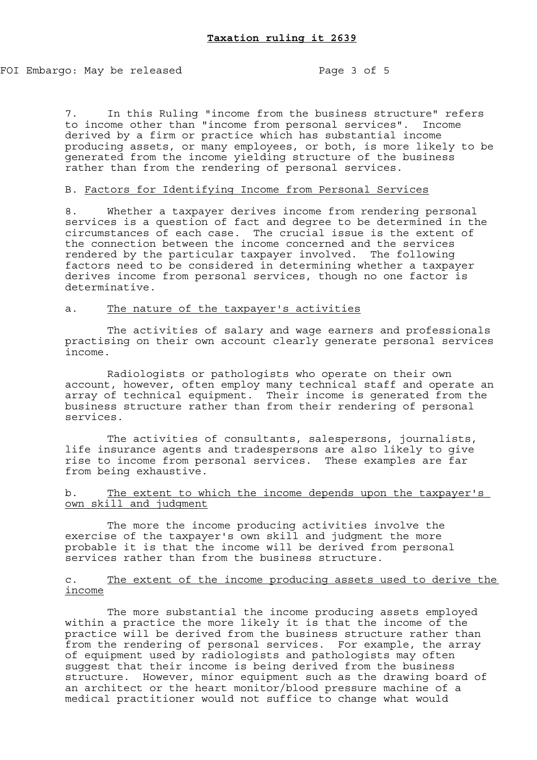7. In this Ruling "income from the business structure" refers to income other than "income from personal services". Income derived by a firm or practice which has substantial income producing assets, or many employees, or both, is more likely to be generated from the income yielding structure of the business rather than from the rendering of personal services.

# B. Factors for Identifying Income from Personal Services

8. Whether a taxpayer derives income from rendering personal services is a question of fact and degree to be determined in the circumstances of each case. The crucial issue is the extent of the connection between the income concerned and the services rendered by the particular taxpayer involved. The following factors need to be considered in determining whether a taxpayer derives income from personal services, though no one factor is determinative.

# a. The nature of the taxpayer's activities

 The activities of salary and wage earners and professionals practising on their own account clearly generate personal services income.

 Radiologists or pathologists who operate on their own account, however, often employ many technical staff and operate an array of technical equipment. Their income is generated from the business structure rather than from their rendering of personal services.

 The activities of consultants, salespersons, journalists, life insurance agents and tradespersons are also likely to give rise to income from personal services. These examples are far from being exhaustive.

b. The extent to which the income depends upon the taxpayer's own skill and judgment

 The more the income producing activities involve the exercise of the taxpayer's own skill and judgment the more probable it is that the income will be derived from personal services rather than from the business structure.

# c. The extent of the income producing assets used to derive the income

 The more substantial the income producing assets employed within a practice the more likely it is that the income of the practice will be derived from the business structure rather than from the rendering of personal services. For example, the array of equipment used by radiologists and pathologists may often suggest that their income is being derived from the business structure. However, minor equipment such as the drawing board of an architect or the heart monitor/blood pressure machine of a medical practitioner would not suffice to change what would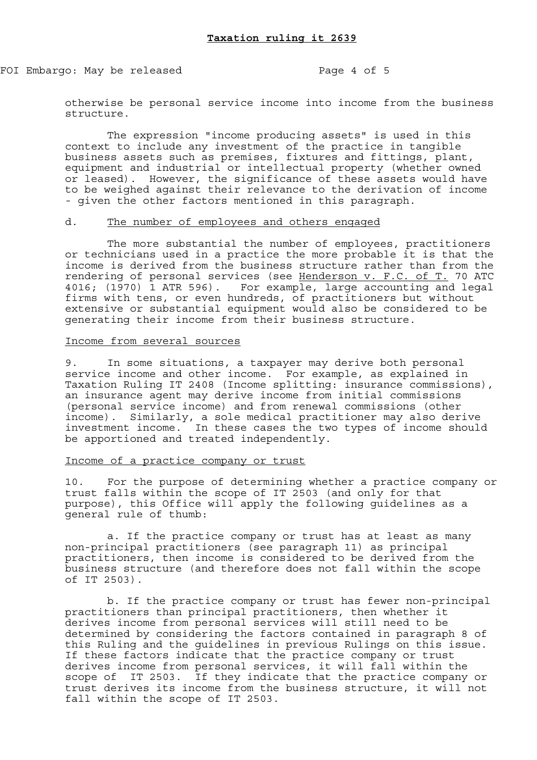FOI Embargo: May be released Page 4 of 5

otherwise be personal service income into income from the business structure.

 The expression "income producing assets" is used in this context to include any investment of the practice in tangible business assets such as premises, fixtures and fittings, plant, equipment and industrial or intellectual property (whether owned or leased). However, the significance of these assets would have to be weighed against their relevance to the derivation of income - given the other factors mentioned in this paragraph.

# d. The number of employees and others engaged

 The more substantial the number of employees, practitioners or technicians used in a practice the more probable it is that the income is derived from the business structure rather than from the rendering of personal services (see Henderson v. F.C. of T. 70 ATC 4016; (1970) 1 ATR 596). For example, large accounting and legal firms with tens, or even hundreds, of practitioners but without extensive or substantial equipment would also be considered to be generating their income from their business structure.

### Income from several sources

9. In some situations, a taxpayer may derive both personal service income and other income. For example, as explained in Taxation Ruling IT 2408 (Income splitting: insurance commissions), an insurance agent may derive income from initial commissions (personal service income) and from renewal commissions (other income). Similarly, a sole medical practitioner may also derive investment income. In these cases the two types of income should be apportioned and treated independently.

## Income of a practice company or trust

10. For the purpose of determining whether a practice company or trust falls within the scope of IT 2503 (and only for that purpose), this Office will apply the following guidelines as a general rule of thumb:

 a. If the practice company or trust has at least as many non-principal practitioners (see paragraph 11) as principal practitioners, then income is considered to be derived from the business structure (and therefore does not fall within the scope of IT 2503).

 b. If the practice company or trust has fewer non-principal practitioners than principal practitioners, then whether it derives income from personal services will still need to be determined by considering the factors contained in paragraph 8 of this Ruling and the guidelines in previous Rulings on this issue. If these factors indicate that the practice company or trust derives income from personal services, it will fall within the scope of IT 2503. If they indicate that the practice company or trust derives its income from the business structure, it will not fall within the scope of IT 2503.